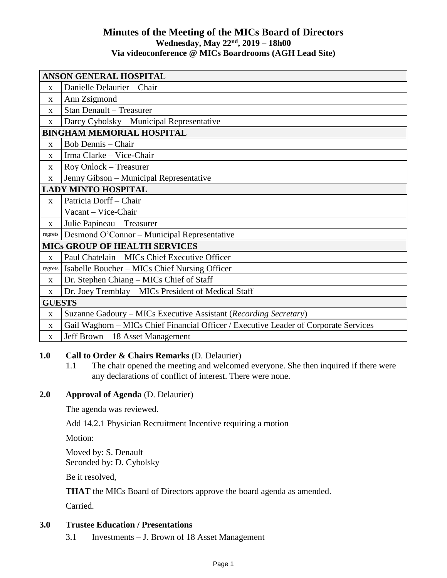# **Minutes of the Meeting of the MICs Board of Directors Wednesday, May 22 nd , 2019 – 18h00 Via videoconference @ MICs Boardrooms (AGH Lead Site)**

| ANSON GENERAL HOSPITAL               |                                                                                      |  |  |
|--------------------------------------|--------------------------------------------------------------------------------------|--|--|
| $\mathbf{x}$                         | Danielle Delaurier - Chair                                                           |  |  |
| X                                    | Ann Zsigmond                                                                         |  |  |
| $\mathbf X$                          | <b>Stan Denault - Treasurer</b>                                                      |  |  |
| X                                    | Darcy Cybolsky – Municipal Representative                                            |  |  |
| <b>BINGHAM MEMORIAL HOSPITAL</b>     |                                                                                      |  |  |
| $\mathbf X$                          | <b>Bob Dennis - Chair</b>                                                            |  |  |
| X                                    | Irma Clarke - Vice-Chair                                                             |  |  |
| X                                    | Roy Onlock - Treasurer                                                               |  |  |
| $\mathbf X$                          | Jenny Gibson - Municipal Representative                                              |  |  |
| <b>LADY MINTO HOSPITAL</b>           |                                                                                      |  |  |
| $\mathbf{X}$                         | Patricia Dorff - Chair                                                               |  |  |
|                                      | Vacant - Vice-Chair                                                                  |  |  |
| X                                    | Julie Papineau - Treasurer                                                           |  |  |
| regrets                              | Desmond O'Connor - Municipal Representative                                          |  |  |
| <b>MICS GROUP OF HEALTH SERVICES</b> |                                                                                      |  |  |
| $\mathbf{x}$                         | Paul Chatelain - MICs Chief Executive Officer                                        |  |  |
| regrets                              | Isabelle Boucher - MICs Chief Nursing Officer                                        |  |  |
| $\mathbf{X}$                         | Dr. Stephen Chiang - MICs Chief of Staff                                             |  |  |
| $\mathbf X$                          | Dr. Joey Tremblay - MICs President of Medical Staff                                  |  |  |
| <b>GUESTS</b>                        |                                                                                      |  |  |
| $\mathbf X$                          | Suzanne Gadoury – MICs Executive Assistant (Recording Secretary)                     |  |  |
| $\mathbf X$                          | Gail Waghorn - MICs Chief Financial Officer / Executive Leader of Corporate Services |  |  |
| X                                    | Jeff Brown - 18 Asset Management                                                     |  |  |

## **1.0 Call to Order & Chairs Remarks** (D. Delaurier)

1.1 The chair opened the meeting and welcomed everyone. She then inquired if there were any declarations of conflict of interest. There were none.

## **2.0 Approval of Agenda** (D. Delaurier)

The agenda was reviewed.

Add 14.2.1 Physician Recruitment Incentive requiring a motion

Motion:

Moved by: S. Denault Seconded by: D. Cybolsky

Be it resolved,

**THAT** the MICs Board of Directors approve the board agenda as amended.

Carried.

### **3.0 Trustee Education / Presentations**

3.1 Investments – J. Brown of 18 Asset Management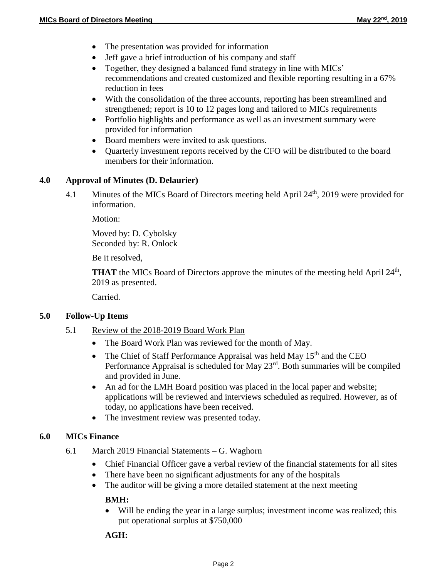- The presentation was provided for information
- Jeff gave a brief introduction of his company and staff
- Together, they designed a balanced fund strategy in line with MICs' recommendations and created customized and flexible reporting resulting in a 67% reduction in fees
- With the consolidation of the three accounts, reporting has been streamlined and strengthened; report is 10 to 12 pages long and tailored to MICs requirements
- Portfolio highlights and performance as well as an investment summary were provided for information
- Board members were invited to ask questions.
- Quarterly investment reports received by the CFO will be distributed to the board members for their information.

### **4.0 Approval of Minutes (D. Delaurier)**

4.1 Minutes of the MICs Board of Directors meeting held April 24<sup>th</sup>, 2019 were provided for information.

Motion:

Moved by: D. Cybolsky Seconded by: R. Onlock

Be it resolved,

**THAT** the MICs Board of Directors approve the minutes of the meeting held April 24<sup>th</sup>, 2019 as presented.

Carried.

#### **5.0 Follow-Up Items**

- 5.1 Review of the 2018-2019 Board Work Plan
	- The Board Work Plan was reviewed for the month of May.
	- The Chief of Staff Performance Appraisal was held May  $15<sup>th</sup>$  and the CEO Performance Appraisal is scheduled for May 23rd. Both summaries will be compiled and provided in June.
	- An ad for the LMH Board position was placed in the local paper and website; applications will be reviewed and interviews scheduled as required. However, as of today, no applications have been received.
	- The investment review was presented today.

## **6.0 MICs Finance**

- 6.1 March 2019 Financial Statements G. Waghorn
	- Chief Financial Officer gave a verbal review of the financial statements for all sites
	- There have been no significant adjustments for any of the hospitals
	- The auditor will be giving a more detailed statement at the next meeting

#### **BMH:**

 Will be ending the year in a large surplus; investment income was realized; this put operational surplus at \$750,000

#### **AGH:**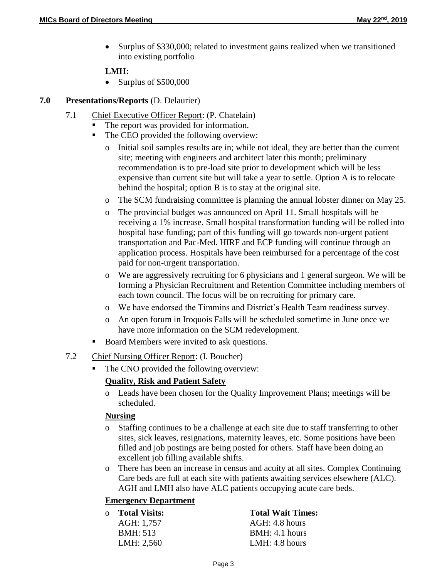Surplus of \$330,000; related to investment gains realized when we transitioned into existing portfolio

### **LMH:**

• Surplus of \$500,000

### **7.0 Presentations/Reports** (D. Delaurier)

- 7.1 Chief Executive Officer Report: (P. Chatelain)
	- The report was provided for information.
	- The CEO provided the following overview:
		- o Initial soil samples results are in; while not ideal, they are better than the current site; meeting with engineers and architect later this month; preliminary recommendation is to pre-load site prior to development which will be less expensive than current site but will take a year to settle. Option A is to relocate behind the hospital; option B is to stay at the original site.
		- o The SCM fundraising committee is planning the annual lobster dinner on May 25.
		- o The provincial budget was announced on April 11. Small hospitals will be receiving a 1% increase. Small hospital transformation funding will be rolled into hospital base funding; part of this funding will go towards non-urgent patient transportation and Pac-Med. HIRF and ECP funding will continue through an application process. Hospitals have been reimbursed for a percentage of the cost paid for non-urgent transportation.
		- o We are aggressively recruiting for 6 physicians and 1 general surgeon. We will be forming a Physician Recruitment and Retention Committee including members of each town council. The focus will be on recruiting for primary care.
		- o We have endorsed the Timmins and District's Health Team readiness survey.
		- o An open forum in Iroquois Falls will be scheduled sometime in June once we have more information on the SCM redevelopment.
	- Board Members were invited to ask questions.
- 7.2 Chief Nursing Officer Report: (I. Boucher)
	- The CNO provided the following overview:

## **Quality, Risk and Patient Safety**

o Leads have been chosen for the Quality Improvement Plans; meetings will be scheduled.

#### **Nursing**

- o Staffing continues to be a challenge at each site due to staff transferring to other sites, sick leaves, resignations, maternity leaves, etc. Some positions have been filled and job postings are being posted for others. Staff have been doing an excellent job filling available shifts.
- o There has been an increase in census and acuity at all sites. Complex Continuing Care beds are full at each site with patients awaiting services elsewhere (ALC). AGH and LMH also have ALC patients occupying acute care beds.

## **Emergency Department**

| o Total Visits:  | <b>Total Wait Times:</b> |
|------------------|--------------------------|
| AGH: 1,757       | AGH: 4.8 hours           |
| <b>BMH</b> : 513 | BMH: 4.1 hours           |
| LMH: 2,560       | LMH: $4.8$ hours         |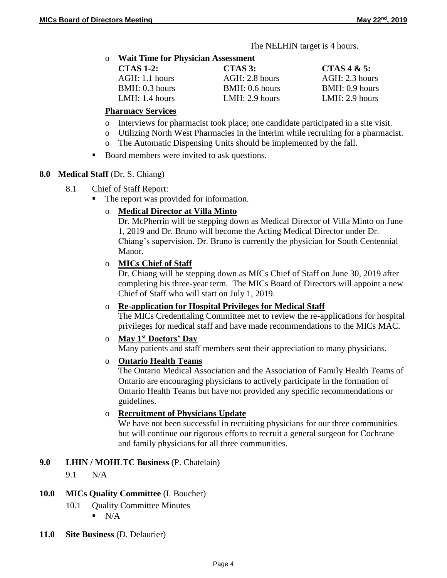The NELHIN target is 4 hours.

o **Wait Time for Physician Assessment**

| <b>CTAS 1-2:</b> | $CTAS$ 3:        | CTAS 4 & 5:      |
|------------------|------------------|------------------|
| $AGH: 1.1$ hours | $AGH: 2.8$ hours | $AGH: 2.3$ hours |
| BMH: 0.3 hours   | BMH: 0.6 hours   | BMH: 0.9 hours   |
| LMH: $1.4$ hours | LMH: 2.9 hours   | LMH: 2.9 hours   |

#### **Pharmacy Services**

- o Interviews for pharmacist took place; one candidate participated in a site visit.
- o Utilizing North West Pharmacies in the interim while recruiting for a pharmacist.
- o The Automatic Dispensing Units should be implemented by the fall.
- Board members were invited to ask questions.

### **8.0 Medical Staff** (Dr. S. Chiang)

- 8.1 Chief of Staff Report:
	- The report was provided for information.

## o **Medical Director at Villa Minto**

Dr. McPherrin will be stepping down as Medical Director of Villa Minto on June 1, 2019 and Dr. Bruno will become the Acting Medical Director under Dr. Chiang's supervision. Dr. Bruno is currently the physician for South Centennial Manor.

### o **MICs Chief of Staff**

Dr. Chiang will be stepping down as MICs Chief of Staff on June 30, 2019 after completing his three-year term. The MICs Board of Directors will appoint a new Chief of Staff who will start on July 1, 2019.

### o **Re-application for Hospital Privileges for Medical Staff**

The MICs Credentialing Committee met to review the re-applications for hospital privileges for medical staff and have made recommendations to the MICs MAC.

## o **May 1st Doctors' Day**

Many patients and staff members sent their appreciation to many physicians.

#### o **Ontario Health Teams**

The Ontario Medical Association and the Association of Family Health Teams of Ontario are encouraging physicians to actively participate in the formation of Ontario Health Teams but have not provided any specific recommendations or guidelines.

### o **Recruitment of Physicians Update**

We have not been successful in recruiting physicians for our three communities but will continue our rigorous efforts to recruit a general surgeon for Cochrane and family physicians for all three communities.

## **9.0 LHIN / MOHLTC Business** (P. Chatelain)

9.1 N/A

## **10.0 MICs Quality Committee** (I. Boucher)

- 10.1 Quality Committee Minutes
	- $\blacksquare$  N/A
- **11.0 Site Business** (D. Delaurier)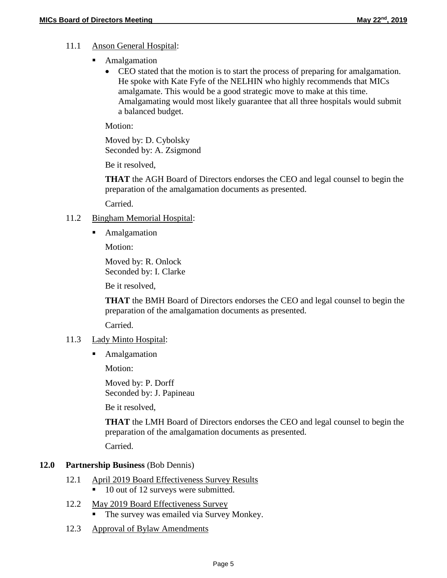# 11.1 Anson General Hospital:

- **Amalgamation** 
	- CEO stated that the motion is to start the process of preparing for amalgamation. He spoke with Kate Fyfe of the NELHIN who highly recommends that MICs amalgamate. This would be a good strategic move to make at this time. Amalgamating would most likely guarantee that all three hospitals would submit a balanced budget.

Motion:

Moved by: D. Cybolsky Seconded by: A. Zsigmond

Be it resolved,

**THAT** the AGH Board of Directors endorses the CEO and legal counsel to begin the preparation of the amalgamation documents as presented.

Carried.

### 11.2 Bingham Memorial Hospital:

**Amalgamation** 

Motion:

Moved by: R. Onlock Seconded by: I. Clarke

Be it resolved,

**THAT** the BMH Board of Directors endorses the CEO and legal counsel to begin the preparation of the amalgamation documents as presented.

Carried.

#### 11.3 Lady Minto Hospital:

**Amalgamation** 

Motion:

Moved by: P. Dorff Seconded by: J. Papineau

Be it resolved,

**THAT** the LMH Board of Directors endorses the CEO and legal counsel to begin the preparation of the amalgamation documents as presented.

Carried.

## **12.0 Partnership Business** (Bob Dennis)

- 12.1 April 2019 Board Effectiveness Survey Results
	- 10 out of 12 surveys were submitted.
- 12.2 May 2019 Board Effectiveness Survey The survey was emailed via Survey Monkey.
- 12.3 Approval of Bylaw Amendments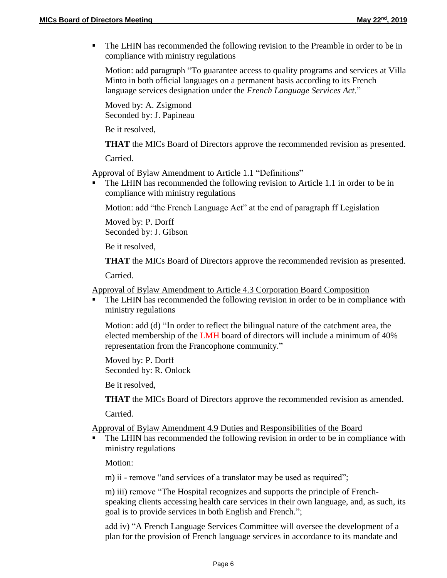The LHIN has recommended the following revision to the Preamble in order to be in compliance with ministry regulations

Motion: add paragraph "To guarantee access to quality programs and services at Villa Minto in both official languages on a permanent basis according to its French language services designation under the *French Language Services Act*."

Moved by: A. Zsigmond Seconded by: J. Papineau

Be it resolved,

**THAT** the MICs Board of Directors approve the recommended revision as presented.

Carried.

Approval of Bylaw Amendment to Article 1.1 "Definitions"

 The LHIN has recommended the following revision to Article 1.1 in order to be in compliance with ministry regulations

Motion: add "the French Language Act" at the end of paragraph ff Legislation

Moved by: P. Dorff Seconded by: J. Gibson

Be it resolved,

**THAT** the MICs Board of Directors approve the recommended revision as presented.

Carried.

Approval of Bylaw Amendment to Article 4.3 Corporation Board Composition

 The LHIN has recommended the following revision in order to be in compliance with ministry regulations

Motion: add (d) "In order to reflect the bilingual nature of the catchment area, the elected membership of the LMH board of directors will include a minimum of 40% representation from the Francophone community."

Moved by: P. Dorff Seconded by: R. Onlock

Be it resolved,

**THAT** the MICs Board of Directors approve the recommended revision as amended.

Carried.

#### Approval of Bylaw Amendment 4.9 Duties and Responsibilities of the Board

 The LHIN has recommended the following revision in order to be in compliance with ministry regulations

Motion:

m) ii - remove "and services of a translator may be used as required";

m) iii) remove "The Hospital recognizes and supports the principle of Frenchspeaking clients accessing health care services in their own language, and, as such, its goal is to provide services in both English and French.";

add iv) "A French Language Services Committee will oversee the development of a plan for the provision of French language services in accordance to its mandate and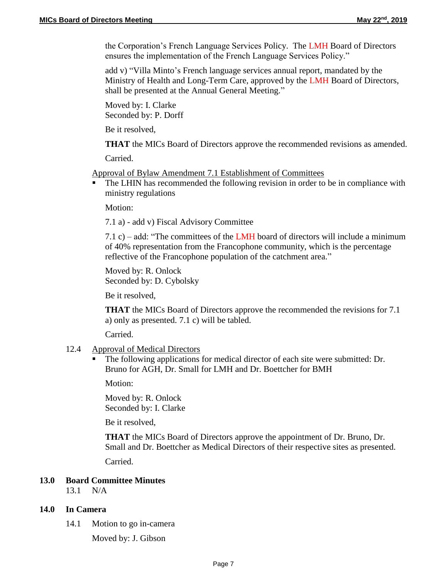the Corporation's French Language Services Policy. The LMH Board of Directors ensures the implementation of the French Language Services Policy."

add v) "Villa Minto's French language services annual report, mandated by the Ministry of Health and Long-Term Care, approved by the LMH Board of Directors, shall be presented at the Annual General Meeting."

Moved by: I. Clarke Seconded by: P. Dorff

Be it resolved,

**THAT** the MICs Board of Directors approve the recommended revisions as amended.

Carried.

Approval of Bylaw Amendment 7.1 Establishment of Committees

 The LHIN has recommended the following revision in order to be in compliance with ministry regulations

Motion:

7.1 a) - add v) Fiscal Advisory Committee

7.1 c) – add: "The committees of the LMH board of directors will include a minimum of 40% representation from the Francophone community, which is the percentage reflective of the Francophone population of the catchment area."

Moved by: R. Onlock Seconded by: D. Cybolsky

Be it resolved,

**THAT** the MICs Board of Directors approve the recommended the revisions for 7.1 a) only as presented. 7.1 c) will be tabled.

Carried.

- 12.4 Approval of Medical Directors
	- The following applications for medical director of each site were submitted: Dr. Bruno for AGH, Dr. Small for LMH and Dr. Boettcher for BMH

Motion:

Moved by: R. Onlock Seconded by: I. Clarke

Be it resolved,

**THAT** the MICs Board of Directors approve the appointment of Dr. Bruno, Dr. Small and Dr. Boettcher as Medical Directors of their respective sites as presented. Carried.

#### **13.0 Board Committee Minutes**

13.1 N/A

#### **14.0 In Camera**

14.1 Motion to go in-camera

Moved by: J. Gibson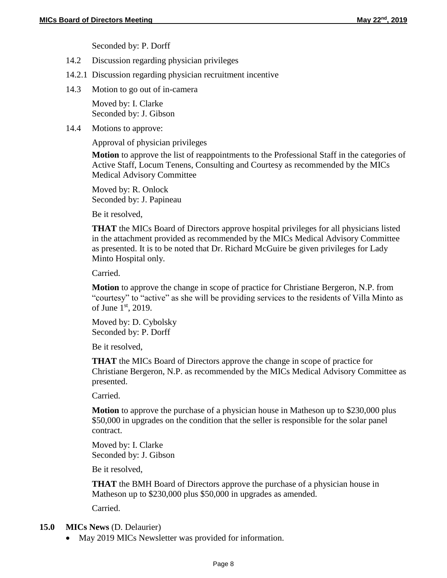Seconded by: P. Dorff

- 14.2 Discussion regarding physician privileges
- 14.2.1 Discussion regarding physician recruitment incentive
- 14.3 Motion to go out of in-camera

Moved by: I. Clarke Seconded by: J. Gibson

14.4 Motions to approve:

Approval of physician privileges

**Motion** to approve the list of reappointments to the Professional Staff in the categories of Active Staff, Locum Tenens, Consulting and Courtesy as recommended by the MICs Medical Advisory Committee

Moved by: R. Onlock Seconded by: J. Papineau

Be it resolved,

**THAT** the MICs Board of Directors approve hospital privileges for all physicians listed in the attachment provided as recommended by the MICs Medical Advisory Committee as presented. It is to be noted that Dr. Richard McGuire be given privileges for Lady Minto Hospital only.

Carried.

**Motion** to approve the change in scope of practice for Christiane Bergeron, N.P. from "courtesy" to "active" as she will be providing services to the residents of Villa Minto as of June  $1<sup>st</sup>$ , 2019.

Moved by: D. Cybolsky Seconded by: P. Dorff

Be it resolved,

**THAT** the MICs Board of Directors approve the change in scope of practice for Christiane Bergeron, N.P. as recommended by the MICs Medical Advisory Committee as presented.

Carried.

**Motion** to approve the purchase of a physician house in Matheson up to \$230,000 plus \$50,000 in upgrades on the condition that the seller is responsible for the solar panel contract.

Moved by: I. Clarke Seconded by: J. Gibson

Be it resolved,

**THAT** the BMH Board of Directors approve the purchase of a physician house in Matheson up to \$230,000 plus \$50,000 in upgrades as amended.

Carried.

## **15.0 MICs News** (D. Delaurier)

• May 2019 MICs Newsletter was provided for information.